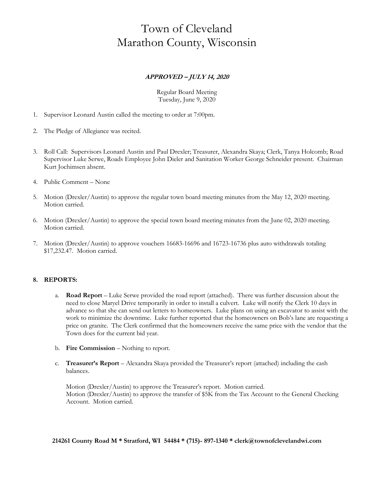## Town of Cleveland Marathon County, Wisconsin

### **APPROVED – JULY 14, 2020**

Regular Board Meeting Tuesday, June 9, 2020

- 1. Supervisor Leonard Austin called the meeting to order at 7:00pm.
- 2. The Pledge of Allegiance was recited.
- 3. Roll Call: Supervisors Leonard Austin and Paul Drexler; Treasurer, Alexandra Skaya; Clerk, Tanya Holcomb; Road Supervisor Luke Serwe, Roads Employee John Dieler and Sanitation Worker George Schneider present. Chairman Kurt Jochimsen absent.
- 4. Public Comment None
- 5. Motion (Drexler/Austin) to approve the regular town board meeting minutes from the May 12, 2020 meeting. Motion carried.
- 6. Motion (Drexler/Austin) to approve the special town board meeting minutes from the June 02, 2020 meeting. Motion carried.
- 7. Motion (Drexler/Austin) to approve vouchers 16683-16696 and 16723-16736 plus auto withdrawals totaling \$17,232.47. Motion carried.

#### **8. REPORTS:**

- a. **Road Report** Luke Serwe provided the road report (attached). There was further discussion about the need to close Maryel Drive temporarily in order to install a culvert. Luke will notify the Clerk 10 days in advance so that she can send out letters to homeowners. Luke plans on using an excavator to assist with the work to minimize the downtime. Luke further reported that the homeowners on Bob's lane are requesting a price on granite. The Clerk confirmed that the homeowners receive the same price with the vendor that the Town does for the current bid year.
- b. **Fire Commission** Nothing to report.
- c. **Treasurer's Report** Alexandra Skaya provided the Treasurer's report (attached) including the cash balances.

Motion (Drexler/Austin) to approve the Treasurer's report. Motion carried. Motion (Drexler/Austin) to approve the transfer of \$5K from the Tax Account to the General Checking Account. Motion carried.

**214261 County Road M \* Stratford, WI 54484 \* (715)- 897-1340 \* clerk@townofclevelandwi.com**